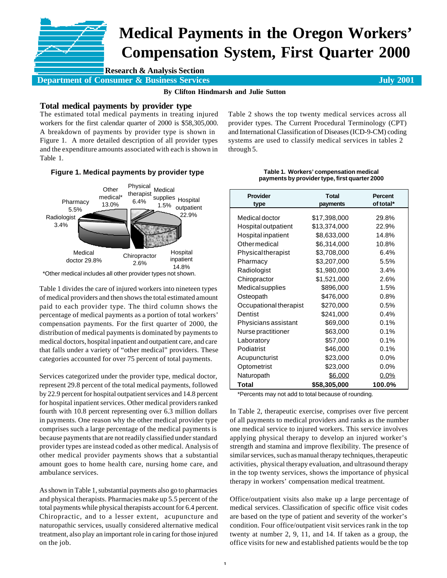# **Medical Payments in the Oregon Workers' Compensation System, First Quarter 2000**

**Research & Analysis Section**

**Department of Consumer & Business Services July 2001 July 2001** 

**By Clifton Hindmarsh and Julie Sutton**

## **Total medical payments by provider type**

The estimated total medical payments in treating injured workers for the first calendar quarter of 2000 is \$58,305,000. A breakdown of payments by provider type is shown in Figure 1. A more detailed description of all provider types and the expenditure amounts associated with each is shown in Table 1.



| Figure 1. Medical payments by provider type |                               |                                                             |  |
|---------------------------------------------|-------------------------------|-------------------------------------------------------------|--|
| Other<br>medical*<br>13.0%                  | Physical<br>therapist<br>6.4% | Medical<br>supplies Hospital<br>1.5%<br>outpatient<br>22.9% |  |
| doctor 29.8%                                | 2.6%                          | Hospital<br>inpatient<br>14.8%                              |  |
|                                             | .                             | Chiropractor                                                |  |

\*Other medical includes all other provider types not shown.

Table 1 divides the care of injured workers into nineteen types of medical providers and then shows the total estimated amount paid to each provider type. The third column shows the percentage of medical payments as a portion of total workers' compensation payments. For the first quarter of 2000, the distribution of medical payments is dominated by payments to medical doctors, hospital inpatient and outpatient care, and care that falls under a variety of "other medical" providers. These categories accounted for over 75 percent of total payments.

Services categorized under the provider type, medical doctor, represent 29.8 percent of the total medical payments, followed by 22.9 percent for hospital outpatient services and 14.8 percent for hospital inpatient services. Other medical providers ranked fourth with 10.8 percent representing over 6.3 million dollars in payments. One reason why the other medical provider type comprises such a large percentage of the medical payments is because payments that are not readily classified under standard provider types are instead coded as other medical. Analysis of other medical provider payments shows that a substantial amount goes to home health care, nursing home care, and ambulance services.

As shown in Table 1, substantial payments also go to pharmacies and physical therapists. Pharmacies make up 5.5 percent of the total payments while physical therapists account for 6.4 percent. Chiropractic, and to a lesser extent, acupuncture and naturopathic services, usually considered alternative medical treatment, also play an important role in caring for those injured on the job.

| Table 1. Workers' compensation medical        |  |
|-----------------------------------------------|--|
| payments by provider type, first quarter 2000 |  |

| <b>Provider</b><br>type | <b>Total</b><br>payments | Percent<br>of total* |
|-------------------------|--------------------------|----------------------|
| Medical doctor          | \$17,398,000             | 29.8%                |
| Hospital outpatient     | \$13,374,000             | 22.9%                |
| Hospital inpatient      | \$8,633,000              | 14.8%                |
| Othermedical            | \$6,314,000              | 10.8%                |
| Physicaltherapist       | \$3,708,000              | 6.4%                 |
| Pharmacy                | \$3,207,000              | 5.5%                 |
| Radiologist             | \$1,980,000              | 3.4%                 |
| Chiropractor            | \$1,521,000              | 2.6%                 |
| Medicalsupplies         | \$896,000                | 1.5%                 |
| Osteopath               | \$476,000                | 0.8%                 |
| Occupational therapist  | \$270,000                | 0.5%                 |
| Dentist                 | \$241,000                | 0.4%                 |
| Physicians assistant    | \$69,000                 | 0.1%                 |
| Nurse practitioner      | \$63,000                 | 0.1%                 |
| Laboratory              | \$57,000                 | 0.1%                 |
| Podiatrist              | \$46,000                 | 0.1%                 |
| Acupuncturist           | \$23,000                 | $0.0\%$              |
| Optometrist             | \$23,000                 | $0.0\%$              |
| Naturopath              | <u>\$6,000</u>           | 0.0%                 |
| Total                   | \$58,305,000             | 100.0%<br>$\cdot$    |

\*Percents may not add to total because of rounding.

In Table 2, therapeutic exercise, comprises over five percent of all payments to medical providers and ranks as the number one medical service to injured workers. This service involves applying physical therapy to develop an injured worker's strength and stamina and improve flexibility. The presence of similar services, such as manual therapy techniques, therapeutic activities, physical therapy evaluation, and ultrasound therapy in the top twenty services, shows the importance of physical therapy in workers' compensation medical treatment.

Office/outpatient visits also make up a large percentage of medical services. Classification of specific office visit codes are based on the type of patient and severity of the worker's condition. Four office/outpatient visit services rank in the top twenty at number 2, 9, 11, and 14. If taken as a group, the office visits for new and established patients would be the top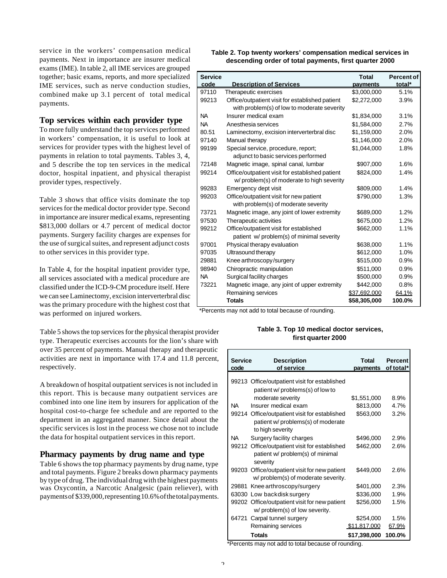service in the workers' compensation medical payments. Next in importance are insurer medical exams (IME). In table 2, all IME services are grouped together; basic exams, reports, and more specialized IME services, such as nerve conduction studies, combined make up 3.1 percent of total medical payments.

# **Top services within each provider type**

To more fully understand the top services performed in workers' compensation, it is useful to look at services for provider types with the highest level of payments in relation to total payments. Tables 3, 4, and 5 describe the top ten services in the medical doctor, hospital inpatient, and physical therapist provider types, respectively.

Table 3 shows that office visits dominate the top services for the medical doctor provider type. Second in importance are insurer medical exams, representing \$813,000 dollars or 4.7 percent of medical doctor payments. Surgery facility charges are expenses for the use of surgical suites, and represent adjunct costs to other services in this provider type.

In Table 4, for the hospital inpatient provider type, all services associated with a medical procedure are classified under the ICD-9-CM procedure itself. Here we can see Laminectomy, excision interverterbral disc was the primary procedure with the highest cost that was performed on injured workers.

Table 5 shows the top services for the physical therapist provider type. Therapeutic exercises accounts for the lion's share with over 35 percent of payments. Manual therapy and therapeutic activities are next in importance with 17.4 and 11.8 percent, respectively.

A breakdown of hospital outpatient services is not included in this report. This is because many outpatient services are combined into one line item by insurers for application of the hospital cost-to-charge fee schedule and are reported to the department in an aggregated manner. Since detail about the specific services is lost in the process we chose not to include the data for hospital outpatient services in this report.

## **Pharmacy payments by drug name and type**

Table 6 shows the top pharmacy payments by drug name, type and total payments. Figure 2 breaks down pharmacy payments by type of drug. The individual drug with the highest payments was Oxycontin, a Narcotic Analgesic (pain reliever), with payments of \$339,000, representing 10.6% of the total payments.

| Table 2. Top twenty workers' compensation medical services in |
|---------------------------------------------------------------|
| descending order of total payments, first quarter 2000        |

| Service |                                                 | <b>Total</b> | <b>Percent of</b> |
|---------|-------------------------------------------------|--------------|-------------------|
| code    | <b>Description of Services</b>                  | payments     | total*            |
| 97110   | Therapeutic exercises                           | \$3,000,000  | 5.1%              |
| 99213   | Office/outpatient visit for established patient | \$2,272,000  | 3.9%              |
|         | with problem(s) of low to moderate severity     |              |                   |
| NА      | Insurer medical exam                            | \$1,834,000  | 3.1%              |
| NА      | Anesthesia services                             | \$1,584,000  | 2.7%              |
| 80.51   | Laminectomy, excision interverterbral disc      | \$1,159,000  | 2.0%              |
| 97140   | Manual therapy                                  | \$1,146,000  | 2.0%              |
| 99199   | Special service, procedure, report;             | \$1,044,000  | 1.8%              |
|         | adjunct to basic services performed             |              |                   |
| 72148   | Magnetic image, spinal canal, lumbar            | \$907,000    | 1.6%              |
| 99214   | Office/outpatient visit for established patient | \$824,000    | 1.4%              |
|         | w/problem(s) of moderate to high severity       |              |                   |
| 99283   | Emergency dept visit                            | \$809,000    | 1.4%              |
| 99203   | Office/outpatient visit for new patient         | \$790,000    | 1.3%              |
|         | with problem(s) of moderate severity            |              |                   |
| 73721   | Magnetic image, any joint of lower extremity    | \$689,000    | 1.2%              |
| 97530   | Therapeutic activities                          | \$675,000    | 1.2%              |
| 99212   | Office/outpatient visit for established         | \$662,000    | 1.1%              |
|         | patient w/problem(s) of minimal severity        |              |                   |
| 97001   | Physical therapy evaluation                     | \$638,000    | 1.1%              |
| 97035   | Ultrasound therapy                              | \$612,000    | 1.0%              |
| 29881   | Knee arthroscopy/surgery                        | \$515,000    | 0.9%              |
| 98940   | Chiropractic manipulation                       | \$511,000    | 0.9%              |
| ΝA      | Surgical facility charges                       | \$500,000    | 0.9%              |
| 73221   | Magnetic image, any joint of upper extremity    | \$442,000    | 0.8%              |
|         | Remaining services                              | \$37,692,000 | 64.1%             |
|         | <b>Totals</b>                                   | \$58,305,000 | 100.0%            |

\*Percents may not add to total because of rounding.

#### **Table 3. Top 10 medical doctor services, first quarter 2000**

| <b>Service</b><br>code | <b>Description</b><br>of service                                                                       | Total<br>payments | Percent<br>of total* |
|------------------------|--------------------------------------------------------------------------------------------------------|-------------------|----------------------|
|                        | 99213 Office/outpatient visit for established<br>patient w/problems(s) of low to                       |                   |                      |
|                        | moderate severity                                                                                      | \$1,551,000       | 8.9%                 |
| NA.                    | Insurer medical exam                                                                                   | \$813,000         | 4.7%                 |
|                        | 99214 Office/outpatient visit for established<br>patient w/problems(s) of moderate<br>to high severity | \$563,000         | 3.2%                 |
| NA.                    | Surgery facility charges                                                                               | \$496,000         | 2.9%                 |
|                        | 99212 Office/outpatient visit for established<br>patient w/ problem(s) of minimal<br>severity          | \$462,000         | 2.6%                 |
|                        | 99203 Office/outpatient visit for new patient<br>w/problem(s) of moderate severity.                    | \$449,000         | 2.6%                 |
|                        | 29881 Knee arthroscopy/surgery                                                                         | \$401,000         | 2.3%                 |
|                        | 63030 Low backdisk surgery                                                                             | \$336,000         | 1.9%                 |
|                        | 99202 Office/outpatient visit for new patient<br>w/ problem(s) of low severity.                        | \$256,000         | 1.5%                 |
|                        | 64721 Carpal tunnel surgery                                                                            | \$254,000         | 1.5%                 |
|                        | Remaining services                                                                                     | \$11,817,000      | 67.9%                |
|                        | Totals                                                                                                 | \$17,398,000      | 100.0%               |

\*Percents may not add to total because of rounding.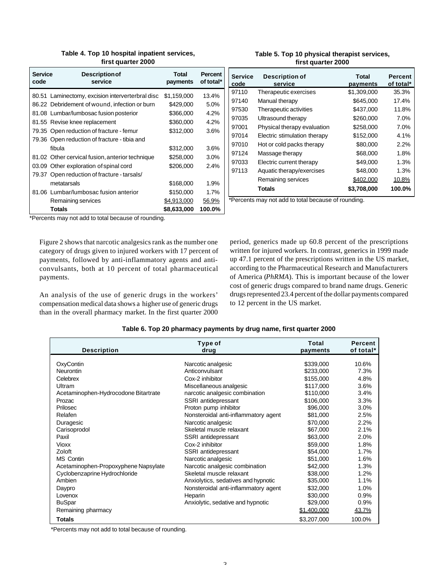|  |                    | Table 4. Top 10 hospital inpatient services, |  |
|--|--------------------|----------------------------------------------|--|
|  | first quarter 2000 |                                              |  |

| code | <b>Service</b><br><b>Description of</b><br>service |             | Percent<br>of total* |
|------|----------------------------------------------------|-------------|----------------------|
|      | 80.51 Laminectomy, excision interverterbral disc   | \$1,159,000 | 13.4%                |
|      | 86.22 Debridement of wound, infection or burn      | \$429,000   | 5.0%                 |
|      | 81.08 Lumbar/lumbosac fusion posterior             | \$366,000   | 4.2%                 |
|      | 81.55 Revise knee replacement                      | \$360,000   | 4.2%                 |
|      | 79.35 Open reduction of fracture - femur           | \$312,000   | 3.6%                 |
|      | 79.36 Open reduction of fracture - tibia and       |             |                      |
|      | fibula                                             | \$312,000   | 3.6%                 |
|      | 81.02 Other cervical fusion, anterior technique    | \$258,000   | 3.0%                 |
|      | 03.09 Other exploration of spinal cord             | \$206.000   | 2.4%                 |
|      | 79.37 Open reduction of fracture - tarsals/        |             |                      |
|      | metatarsals                                        | \$168,000   | 1.9%                 |
|      | 81.06 Lumbar/lumbosac fusion anterior              | \$150,000   | 1.7%                 |
|      | Remaining services                                 | \$4,913,000 | 56.9%                |
|      | Totals                                             | \$8,633,000 | 100.0%               |

#### **Table 5. Top 10 physical therapist services, first quarter 2000**

| <b>Service</b><br>code | <b>Description of</b><br>service | <b>Total</b><br>payments | <b>Percent</b><br>of total* |
|------------------------|----------------------------------|--------------------------|-----------------------------|
| 97110                  | Therapeutic exercises            | \$1,309,000              | 35.3%                       |
| 97140                  | Manual therapy                   | \$645,000                | 17.4%                       |
| 97530                  | Therapeutic activities           | \$437,000                | 11.8%                       |
| 97035                  | Ultrasound therapy               | \$260,000                | 7.0%                        |
| 97001                  | Physical therapy evaluation      | \$258,000                | 7.0%                        |
| 97014                  | Electric stimulation therapy     | \$152,000                | 4.1%                        |
| 97010                  | Hot or cold packs therapy        | \$80,000                 | 2.2%                        |
| 97124                  | Massage therapy                  | \$68,000                 | 1.8%                        |
| 97033                  | Electric current therapy         | \$49,000                 | 1.3%                        |
| 97113                  | Aquatic therapy/exercises        | \$48,000                 | 1.3%                        |
|                        | Remaining services               | \$402,000                | 10.8%                       |
|                        | Totals                           | \$3,708,000              | 100.0%                      |

\*Percents may not add to total because of rounding.

\*Percents may not add to total because of rounding.

Figure 2 shows that narcotic analgesics rank as the number one category of drugs given to injured workers with 17 percent of payments, followed by anti-inflammatory agents and anticonvulsants, both at 10 percent of total pharmaceutical payments.

An analysis of the use of generic drugs in the workers' compensation medical data shows a higher use of generic drugs than in the overall pharmacy market. In the first quarter 2000 period, generics made up 60.8 percent of the prescriptions written for injured workers. In contrast, generics in 1999 made up 47.1 percent of the prescriptions written in the US market, according to the Pharmaceutical Research and Manufacturers of America (*PhRMA*). This is important because of the lower cost of generic drugs compared to brand name drugs. Generic drugs represented 23.4 percent of the dollar payments compared to 12 percent in the US market.

| <b>Description</b>                   | Type of<br>drug                      | <b>Total</b><br>payments | Percent<br>of total* |
|--------------------------------------|--------------------------------------|--------------------------|----------------------|
| OxyContin                            | Narcotic analgesic                   | \$339,000                | 10.6%                |
| Neurontin                            | Anticonvulsant                       | \$233,000                | 7.3%                 |
| Celebrex                             | Cox-2 inhibitor                      | \$155,000                | 4.8%                 |
| Ultram                               | Miscellaneous analgesic              | \$117,000                | 3.6%                 |
| Acetaminophen-Hydrocodone Bitartrate | narcotic analgesic combination       | \$110,000                | 3.4%                 |
| Prozac                               | SSRI antidepressant                  | \$106,000                | 3.3%                 |
| Prilosec                             | Proton pump inhibitor                | \$96,000                 | 3.0%                 |
| Relafen                              | Nonsteroidal anti-inflammatory agent | \$81,000                 | 2.5%                 |
| Duragesic                            | Narcotic analgesic                   | \$70,000                 | 2.2%                 |
| Carisoprodol                         | Skeletal muscle relaxant             | \$67,000                 | 2.1%                 |
| Paxil                                | SSRI antidepressant                  | \$63,000                 | 2.0%                 |
| Vioxx                                | Cox-2 inhibitor                      | \$59,000                 | 1.8%                 |
| Zoloft                               | SSRI antidepressant                  | \$54,000                 | 1.7%                 |
| <b>MS Contin</b>                     | Narcotic analgesic                   | \$51,000                 | 1.6%                 |
| Acetaminophen-Propoxyphene Napsylate | Narcotic analgesic combination       | \$42,000                 | 1.3%                 |
| Cyclobenzaprine Hydrochloride        | Skeletal muscle relaxant             | \$38,000                 | 1.2%                 |
| Ambien                               | Anxiolytics, sedatives and hypnotic  | \$35,000                 | 1.1%                 |
| Daypro                               | Nonsteroidal anti-inflammatory agent | \$32,000                 | 1.0%                 |
| Lovenox                              | Heparin                              | \$30,000                 | 0.9%                 |
| <b>BuSpar</b>                        | Anxiolytic, sedative and hypnotic    | \$29,000                 | 0.9%                 |
| Remaining pharmacy                   |                                      | \$1,400,000              | 43.7%                |
| <b>Totals</b>                        |                                      | \$3,207,000              | 100.0%               |

## **Table 6. Top 20 pharmacy payments by drug name, first quarter 2000**

\*Percents may not add to total because of rounding.